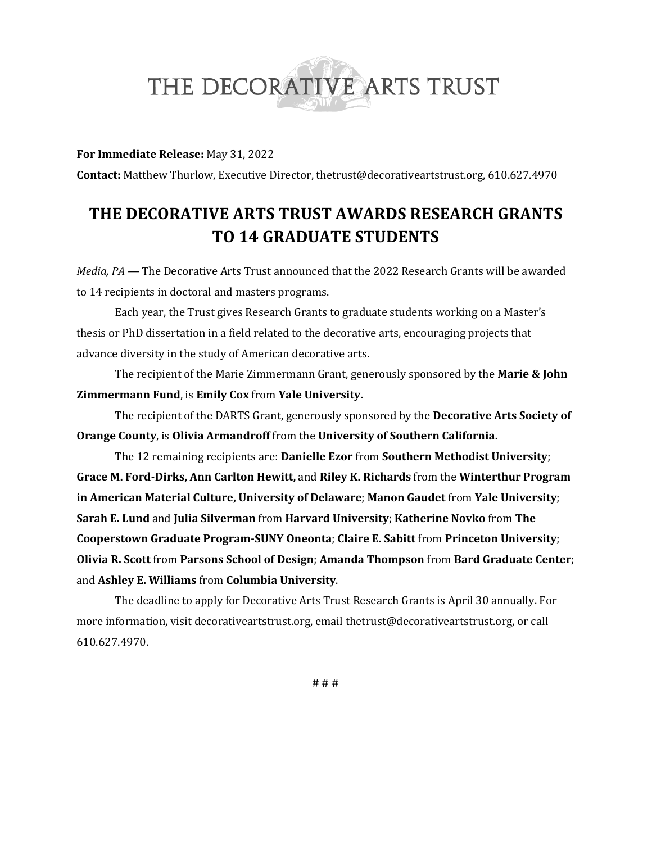# THE DECORATIVE ARTS TRUST

#### **For Immediate Release:** May 31, 2022

**Contact:** Matthew Thurlow, Executive Director, thetrust@decorativeartstrust.org, 610.627.4970

# **THE DECORATIVE ARTS TRUST AWARDS RESEARCH GRANTS TO 14 GRADUATE STUDENTS**

*Media, PA —* The Decorative Arts Trust announced that the 2022 Research Grants will be awarded to 14 recipients in doctoral and masters programs.

Each year, the Trust gives Research Grants to graduate students working on a Master's thesis or PhD dissertation in a field related to the decorative arts, encouraging projects that advance diversity in the study of American decorative arts.

The recipient of the Marie Zimmermann Grant, generously sponsored by the **Marie & John Zimmermann Fund**, is **Emily Cox** from **Yale University.** 

The recipient of the DARTS Grant, generously sponsored by the **Decorative Arts Society of Orange County**, is **Olivia Armandroff** from the **University of Southern California.** 

The 12 remaining recipients are: **Danielle Ezor** from **Southern Methodist University**; **Grace M. Ford-Dirks, Ann Carlton Hewitt,** and **Riley K. Richards** from the **Winterthur Program in American Material Culture, University of Delaware**; **Manon Gaudet** from **Yale University**; **Sarah E. Lund** and **Julia Silverman** from **Harvard University**; **Katherine Novko** from **The Cooperstown Graduate Program-SUNY Oneonta**; **Claire E. Sabitt** from **Princeton University**; **Olivia R. Scott** from **Parsons School of Design**; **Amanda Thompson** from **Bard Graduate Center**; and **Ashley E. Williams** from **Columbia University**.

The deadline to apply for Decorative Arts Trust Research Grants is April 30 annually. For more information, visit decorativeartstrust.org, email thetrust@decorativeartstrust.org, or call 610.627.4970.

# # #